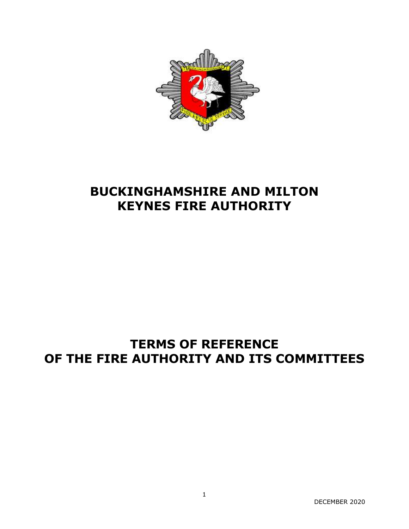

# **BUCKINGHAMSHIRE AND MILTON KEYNES FIRE AUTHORITY**

# **TERMS OF REFERENCE OF THE FIRE AUTHORITY AND ITS COMMITTEES**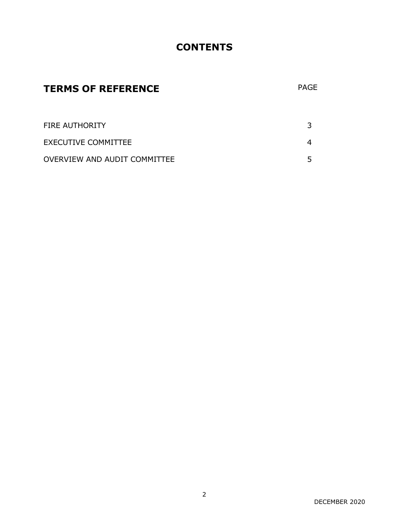## **CONTENTS**

# **TERMS OF REFERENCE** PAGE

| <b>FIRE AUTHORITY</b>        |  |
|------------------------------|--|
| <b>EXECUTIVE COMMITTEE</b>   |  |
| OVERVIEW AND AUDIT COMMITTEE |  |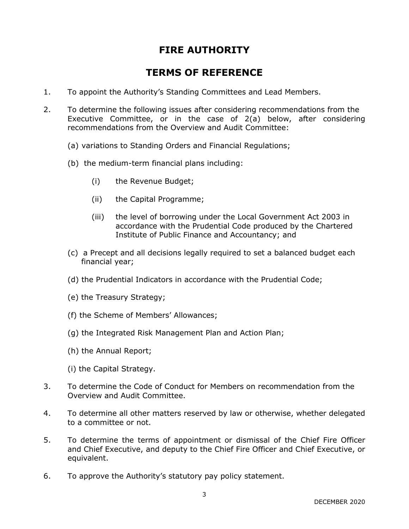## **FIRE AUTHORITY**

## **TERMS OF REFERENCE**

- 1. To appoint the Authority's Standing Committees and Lead Members.
- 2. To determine the following issues after considering recommendations from the Executive Committee, or in the case of 2(a) below, after considering recommendations from the Overview and Audit Committee:
	- (a) variations to Standing Orders and Financial Regulations;
	- (b) the medium-term financial plans including:
		- (i) the Revenue Budget;
		- (ii) the Capital Programme;
		- (iii) the level of borrowing under the Local Government Act 2003 in accordance with the Prudential Code produced by the Chartered Institute of Public Finance and Accountancy; and
	- (c) a Precept and all decisions legally required to set a balanced budget each financial year;
	- (d) the Prudential Indicators in accordance with the Prudential Code;
	- (e) the Treasury Strategy;
	- (f) the Scheme of Members' Allowances;
	- (g) the Integrated Risk Management Plan and Action Plan;
	- (h) the Annual Report;
	- (i) the Capital Strategy.
- 3. To determine the Code of Conduct for Members on recommendation from the Overview and Audit Committee.
- 4. To determine all other matters reserved by law or otherwise, whether delegated to a committee or not.
- 5. To determine the terms of appointment or dismissal of the Chief Fire Officer and Chief Executive, and deputy to the Chief Fire Officer and Chief Executive, or equivalent.
- 6. To approve the Authority's statutory pay policy statement.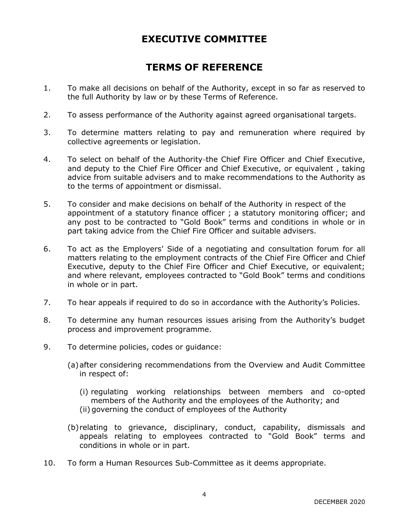## **EXECUTIVE COMMITTEE**

## **TERMS OF REFERENCE**

- 1. To make all decisions on behalf of the Authority, except in so far as reserved to the full Authority by law or by these Terms of Reference.
- 2. To assess performance of the Authority against agreed organisational targets.
- 3. To determine matters relating to pay and remuneration where required by collective agreements or legislation.
- 4. To select on behalf of the Authority-the Chief Fire Officer and Chief Executive, and deputy to the Chief Fire Officer and Chief Executive, or equivalent , taking advice from suitable advisers and to make recommendations to the Authority as to the terms of appointment or dismissal.
- 5. To consider and make decisions on behalf of the Authority in respect of the appointment of a statutory finance officer; a statutory monitoring officer; and any post to be contracted to "Gold Book" terms and conditions in whole or in part taking advice from the Chief Fire Officer and suitable advisers.
- 6. To act as the Employers' Side of a negotiating and consultation forum for all matters relating to the employment contracts of the Chief Fire Officer and Chief Executive, deputy to the Chief Fire Officer and Chief Executive, or equivalent; and where relevant, employees contracted to "Gold Book" terms and conditions in whole or in part.
- 7. To hear appeals if required to do so in accordance with the Authority's Policies.
- 8. To determine any human resources issues arising from the Authority's budget process and improvement programme.
- 9. To determine policies, codes or guidance:
	- (a)after considering recommendations from the Overview and Audit Committee in respect of:
		- (i) regulating working relationships between members and co-opted members of the Authority and the employees of the Authority; and (ii) governing the conduct of employees of the Authority
	- (b)relating to grievance, disciplinary, conduct, capability, dismissals and appeals relating to employees contracted to "Gold Book" terms and conditions in whole or in part.
- 10. To form a Human Resources Sub-Committee as it deems appropriate.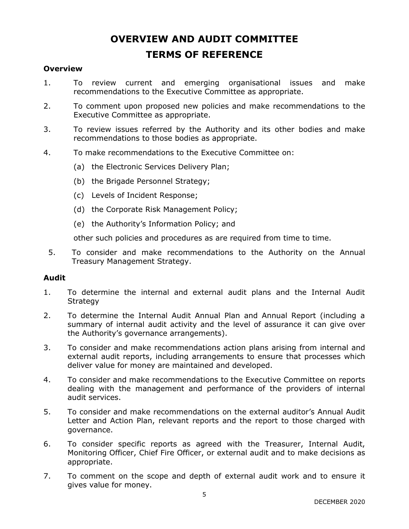# **OVERVIEW AND AUDIT COMMITTEE TERMS OF REFERENCE**

### **Overview**

- 1. To review current and emerging organisational issues and make recommendations to the Executive Committee as appropriate.
- 2. To comment upon proposed new policies and make recommendations to the Executive Committee as appropriate.
- 3. To review issues referred by the Authority and its other bodies and make recommendations to those bodies as appropriate.
- 4. To make recommendations to the Executive Committee on:
	- (a) the Electronic Services Delivery Plan;
	- (b) the Brigade Personnel Strategy;
	- (c) Levels of Incident Response;
	- (d) the Corporate Risk Management Policy;
	- (e) the Authority's Information Policy; and

other such policies and procedures as are required from time to time.

5. To consider and make recommendations to the Authority on the Annual Treasury Management Strategy.

### **Audit**

- 1. To determine the internal and external audit plans and the Internal Audit **Strategy**
- 2. To determine the Internal Audit Annual Plan and Annual Report (including a summary of internal audit activity and the level of assurance it can give over the Authority's governance arrangements).
- 3. To consider and make recommendations action plans arising from internal and external audit reports, including arrangements to ensure that processes which deliver value for money are maintained and developed.
- 4. To consider and make recommendations to the Executive Committee on reports dealing with the management and performance of the providers of internal audit services.
- 5. To consider and make recommendations on the external auditor's Annual Audit Letter and Action Plan, relevant reports and the report to those charged with governance.
- 6. To consider specific reports as agreed with the Treasurer, Internal Audit, Monitoring Officer, Chief Fire Officer, or external audit and to make decisions as appropriate.
- 7. To comment on the scope and depth of external audit work and to ensure it gives value for money.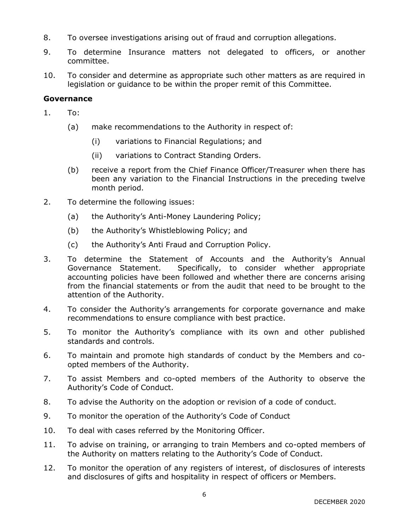- 8. To oversee investigations arising out of fraud and corruption allegations.
- 9. To determine Insurance matters not delegated to officers, or another committee.
- 10. To consider and determine as appropriate such other matters as are required in legislation or guidance to be within the proper remit of this Committee.

### **Governance**

- 1. To:
	- (a) make recommendations to the Authority in respect of:
		- (i) variations to Financial Regulations; and
		- (ii) variations to Contract Standing Orders.
	- (b) receive a report from the Chief Finance Officer/Treasurer when there has been any variation to the Financial Instructions in the preceding twelve month period.
- 2. To determine the following issues:
	- (a) the Authority's Anti-Money Laundering Policy;
	- (b) the Authority's Whistleblowing Policy; and
	- (c) the Authority's Anti Fraud and Corruption Policy.
- 3. To determine the Statement of Accounts and the Authority's Annual Governance Statement. Specifically, to consider whether appropriate accounting policies have been followed and whether there are concerns arising from the financial statements or from the audit that need to be brought to the attention of the Authority.
- 4. To consider the Authority's arrangements for corporate governance and make recommendations to ensure compliance with best practice.
- 5. To monitor the Authority's compliance with its own and other published standards and controls.
- 6. To maintain and promote high standards of conduct by the Members and coopted members of the Authority.
- 7. To assist Members and co-opted members of the Authority to observe the Authority's Code of Conduct.
- 8. To advise the Authority on the adoption or revision of a code of conduct.
- 9. To monitor the operation of the Authority's Code of Conduct
- 10. To deal with cases referred by the Monitoring Officer.
- 11. To advise on training, or arranging to train Members and co-opted members of the Authority on matters relating to the Authority's Code of Conduct.
- 12. To monitor the operation of any registers of interest, of disclosures of interests and disclosures of gifts and hospitality in respect of officers or Members.